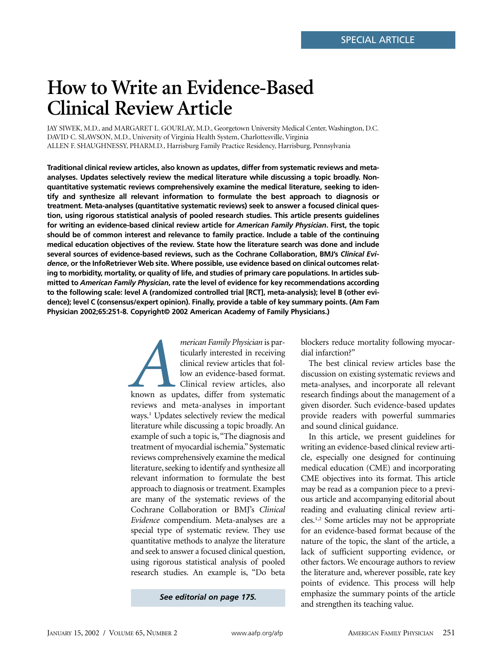# **How to Write an Evidence-Based Clinical Review Article**

JAY SIWEK, M.D., and MARGARET L. GOURLAY, M.D., Georgetown University Medical Center, Washington, D.C. DAVID C. SLAWSON, M.D., University of Virginia Health System, Charlottesville, Virginia ALLEN F. SHAUGHNESSY, PHARM.D., Harrisburg Family Practice Residency, Harrisburg, Pennsylvania

**Traditional clinical review articles, also known as updates, differ from systematic reviews and metaanalyses. Updates selectively review the medical literature while discussing a topic broadly. Nonquantitative systematic reviews comprehensively examine the medical literature, seeking to identify and synthesize all relevant information to formulate the best approach to diagnosis or treatment. Meta-analyses (quantitative systematic reviews) seek to answer a focused clinical question, using rigorous statistical analysis of pooled research studies. This article presents guidelines for writing an evidence-based clinical review article for** *American Family Physician***. First, the topic should be of common interest and relevance to family practice. Include a table of the continuing medical education objectives of the review. State how the literature search was done and include several sources of evidence-based reviews, such as the Cochrane Collaboration, BMJ's** *Clinical Evidence***, or the InfoRetriever Web site. Where possible, use evidence based on clinical outcomes relating to morbidity, mortality, or quality of life, and studies of primary care populations. In articles submitted to** *American Family Physician***, rate the level of evidence for key recommendations according to the following scale: level A (randomized controlled trial [RCT], meta-analysis); level B (other evidence); level C (consensus/expert opinion). Finally, provide a table of key summary points. (Am Fam Physician 2002;65:251-8. Copyright© 2002 American Academy of Family Physicians.)**

> *Merican Family Physician* is particularly interested in receiving<br>
> clinical review articles that fol-<br>
> low an evidence-based format.<br>
> Clinical review articles, also<br>
> known as updates, differ from systematic ticularly interested in receiving clinical review articles that follow an evidence-based format. Clinical review articles, also reviews and meta-analyses in important ways.<sup>1</sup> Updates selectively review the medical literature while discussing a topic broadly. An example of such a topic is,"The diagnosis and treatment of myocardial ischemia." Systematic reviews comprehensively examine the medical literature, seeking to identify and synthesize all relevant information to formulate the best approach to diagnosis or treatment. Examples are many of the systematic reviews of the Cochrane Collaboration or BMJ's *Clinical Evidence* compendium. Meta-analyses are a special type of systematic review. They use quantitative methods to analyze the literature and seek to answer a focused clinical question, using rigorous statistical analysis of pooled research studies. An example is, "Do beta

> > *See editorial on page 175.*

blockers reduce mortality following myocardial infarction?"

The best clinical review articles base the discussion on existing systematic reviews and meta-analyses, and incorporate all relevant research findings about the management of a given disorder. Such evidence-based updates provide readers with powerful summaries and sound clinical guidance.

In this article, we present guidelines for writing an evidence-based clinical review article, especially one designed for continuing medical education (CME) and incorporating CME objectives into its format. This article may be read as a companion piece to a previous article and accompanying editorial about reading and evaluating clinical review articles.1,2 Some articles may not be appropriate for an evidence-based format because of the nature of the topic, the slant of the article, a lack of sufficient supporting evidence, or other factors. We encourage authors to review the literature and, wherever possible, rate key points of evidence. This process will help emphasize the summary points of the article and strengthen its teaching value.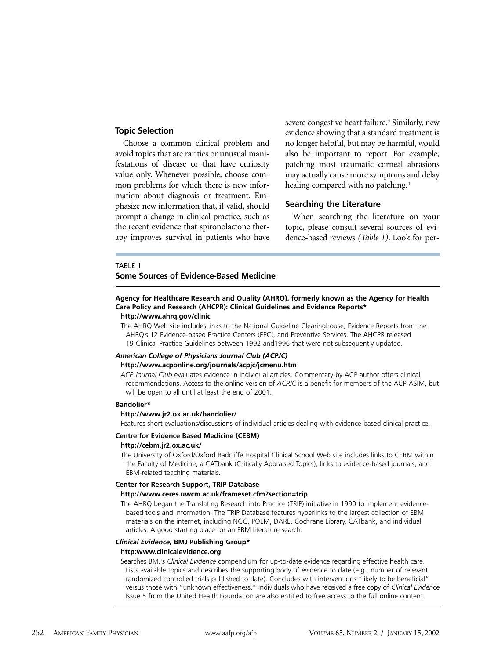#### **Topic Selection**

Choose a common clinical problem and avoid topics that are rarities or unusual manifestations of disease or that have curiosity value only. Whenever possible, choose common problems for which there is new information about diagnosis or treatment. Emphasize new information that, if valid, should prompt a change in clinical practice, such as the recent evidence that spironolactone therapy improves survival in patients who have severe congestive heart failure.<sup>3</sup> Similarly, new evidence showing that a standard treatment is no longer helpful, but may be harmful, would also be important to report. For example, patching most traumatic corneal abrasions may actually cause more symptoms and delay healing compared with no patching.<sup>4</sup>

## **Searching the Literature**

When searching the literature on your topic, please consult several sources of evidence-based reviews *(Table 1)*. Look for per-

#### TABLE 1

## **Some Sources of Evidence-Based Medicine**

## **Agency for Healthcare Research and Quality (AHRQ), formerly known as the Agency for Health Care Policy and Research (AHCPR): Clinical Guidelines and Evidence Reports\***

#### **http://www.ahrq.gov/clinic**

The AHRQ Web site includes links to the National Guideline Clearinghouse, Evidence Reports from the AHRQ's 12 Evidence-based Practice Centers (EPC), and Preventive Services. The AHCPR released 19 Clinical Practice Guidelines between 1992 and1996 that were not subsequently updated.

## *American College of Physicians Journal Club (ACPJC)*

# **http://www.acponline.org/journals/acpjc/jcmenu.htm**

*ACP Journal Club* evaluates evidence in individual articles. Commentary by ACP author offers clinical recommendations. Access to the online version of *ACPJC* is a benefit for members of the ACP-ASIM, but will be open to all until at least the end of 2001.

#### **Bandolier\***

#### **http://www.jr2.ox.ac.uk/bandolier/**

Features short evaluations/discussions of individual articles dealing with evidence-based clinical practice.

#### **Centre for Evidence Based Medicine (CEBM)**

#### **http://cebm.jr2.ox.ac.uk/**

The University of Oxford/Oxford Radcliffe Hospital Clinical School Web site includes links to CEBM within the Faculty of Medicine, a CATbank (Critically Appraised Topics), links to evidence-based journals, and EBM-related teaching materials.

#### **Center for Research Support, TRIP Database**

#### **http://www.ceres.uwcm.ac.uk/frameset.cfm?section=trip**

The AHRQ began the Translating Research into Practice (TRIP) initiative in 1990 to implement evidencebased tools and information. The TRIP Database features hyperlinks to the largest collection of EBM materials on the internet, including NGC, POEM, DARE, Cochrane Library, CATbank, and individual articles. A good starting place for an EBM literature search.

#### *Clinical Evidence,* **BMJ Publishing Group\***

#### **http:www.clinicalevidence.org**

Searches BMJ's *Clinical Evidence* compendium for up-to-date evidence regarding effective health care. Lists available topics and describes the supporting body of evidence to date (e.g., number of relevant randomized controlled trials published to date). Concludes with interventions "likely to be beneficial" versus those with "unknown effectiveness." Individuals who have received a free copy of *Clinical Evidence* Issue 5 from the United Health Foundation are also entitled to free access to the full online content.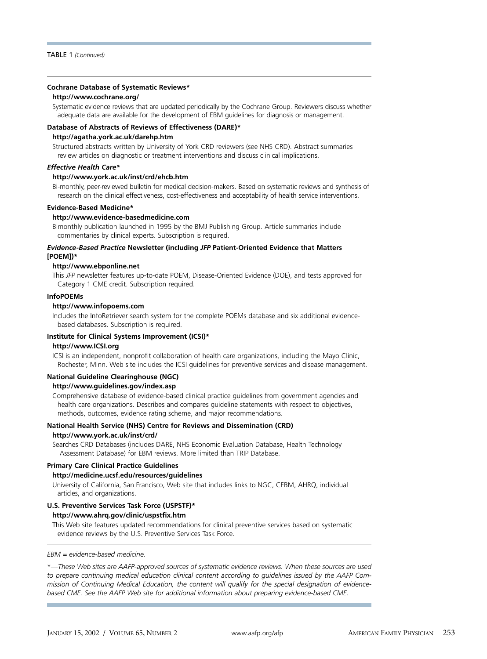#### **Cochrane Database of Systematic Reviews\***

#### **http://www.cochrane.org/**

Systematic evidence reviews that are updated periodically by the Cochrane Group. Reviewers discuss whether adequate data are available for the development of EBM guidelines for diagnosis or management.

#### **Database of Abstracts of Reviews of Effectiveness (DARE)\***

#### **http://agatha.york.ac.uk/darehp.htm**

Structured abstracts written by University of York CRD reviewers (see NHS CRD). Abstract summaries review articles on diagnostic or treatment interventions and discuss clinical implications.

## *Effective Health Care\**

#### **http://www.york.ac.uk/inst/crd/ehcb.htm**

Bi-monthly, peer-reviewed bulletin for medical decision-makers. Based on systematic reviews and synthesis of research on the clinical effectiveness, cost-effectiveness and acceptability of health service interventions.

#### **Evidence-Based Medicine\***

#### **http://www.evidence-basedmedicine.com**

Bimonthly publication launched in 1995 by the BMJ Publishing Group. Article summaries include commentaries by clinical experts. Subscription is required.

#### *Evidence-Based Practice* **Newsletter (including** *JFP* **Patient-Oriented Evidence that Matters [POEM])\***

#### **http://www.ebponline.net**

This *JFP* newsletter features up-to-date POEM, Disease-Oriented Evidence (DOE), and tests approved for Category 1 CME credit. Subscription required.

#### **InfoPOEMs**

#### **http://www.infopoems.com**

Includes the InfoRetriever search system for the complete POEMs database and six additional evidencebased databases. Subscription is required.

#### **Institute for Clinical Systems Improvement (ICSI)\***

#### **http://www.ICSI.org**

ICSI is an independent, nonprofit collaboration of health care organizations, including the Mayo Clinic, Rochester, Minn. Web site includes the ICSI guidelines for preventive services and disease management.

#### **National Guideline Clearinghouse (NGC)**

#### **http://www.guidelines.gov/index.asp**

Comprehensive database of evidence-based clinical practice guidelines from government agencies and health care organizations. Describes and compares guideline statements with respect to objectives, methods, outcomes, evidence rating scheme, and major recommendations.

#### **National Health Service (NHS) Centre for Reviews and Dissemination (CRD) http://www.york.ac.uk/inst/crd/**

Searches CRD Databases (includes DARE, NHS Economic Evaluation Database, Health Technology Assessment Database) for EBM reviews. More limited than TRIP Database.

#### **Primary Care Clinical Practice Guidelines**

#### **http://medicine.ucsf.edu/resources/guidelines**

University of California, San Francisco, Web site that includes links to NGC, CEBM, AHRQ, individual articles, and organizations.

#### **U.S. Preventive Services Task Force (USPSTF)\***

#### **http://www.ahrq.gov/clinic/uspstfix.htm**

This Web site features updated recommendations for clinical preventive services based on systematic evidence reviews by the U.S. Preventive Services Task Force.

#### *EBM = evidence-based medicine.*

\*—*These Web sites are AAFP-approved sources of systematic evidence reviews. When these sources are used to prepare continuing medical education clinical content according to guidelines issued by the AAFP Commission of Continuing Medical Education, the content will qualify for the special designation of evidencebased CME. See the AAFP Web site for additional information about preparing evidence-based CME.*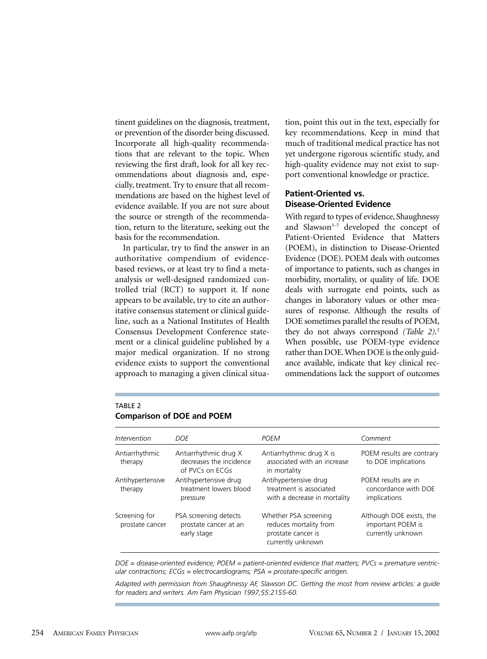tinent guidelines on the diagnosis, treatment, or prevention of the disorder being discussed. Incorporate all high-quality recommendations that are relevant to the topic. When reviewing the first draft, look for all key recommendations about diagnosis and, especially, treatment. Try to ensure that all recommendations are based on the highest level of evidence available. If you are not sure about the source or strength of the recommendation, return to the literature, seeking out the basis for the recommendation.

In particular, try to find the answer in an authoritative compendium of evidencebased reviews, or at least try to find a metaanalysis or well-designed randomized controlled trial (RCT) to support it. If none appears to be available, try to cite an authoritative consensus statement or clinical guideline, such as a National Institutes of Health Consensus Development Conference statement or a clinical guideline published by a major medical organization. If no strong evidence exists to support the conventional approach to managing a given clinical situa-

tion, point this out in the text, especially for key recommendations. Keep in mind that much of traditional medical practice has not yet undergone rigorous scientific study, and high-quality evidence may not exist to support conventional knowledge or practice.

## **Patient-Oriented vs. Disease-Oriented Evidence**

With regard to types of evidence, Shaughnessy and Slawson<sup>5-7</sup> developed the concept of Patient-Oriented Evidence that Matters (POEM), in distinction to Disease-Oriented Evidence (DOE). POEM deals with outcomes of importance to patients, such as changes in morbidity, mortality, or quality of life. DOE deals with surrogate end points, such as changes in laboratory values or other measures of response. Although the results of DOE sometimes parallel the results of POEM, they do not always correspond *(Table 2)*. 2 When possible, use POEM-type evidence rather than DOE. When DOE is the only guidance available, indicate that key clinical recommendations lack the support of outcomes

## TABLE<sub>2</sub> **Comparison of DOE and POEM**

| Intervention                     | DOE                                                                 | <b>POFM</b>                                                                                | Comment                                                            |
|----------------------------------|---------------------------------------------------------------------|--------------------------------------------------------------------------------------------|--------------------------------------------------------------------|
| Antiarrhythmic<br>therapy        | Antiarrhythmic drug X<br>decreases the incidence<br>of PVCs on ECGs | Antiarrhythmic drug X is<br>associated with an increase<br>in mortality                    | POEM results are contrary<br>to DOE implications                   |
| Antihypertensive<br>therapy      | Antihypertensive drug<br>treatment lowers blood<br>pressure         | Antihypertensive drug<br>treatment is associated<br>with a decrease in mortality           | POEM results are in<br>concordance with DOE<br>implications        |
| Screening for<br>prostate cancer | PSA screening detects<br>prostate cancer at an<br>early stage       | Whether PSA screening<br>reduces mortality from<br>prostate cancer is<br>currently unknown | Although DOE exists, the<br>important POEM is<br>currently unknown |

*DOE = disease-oriented evidence; POEM = patient-oriented evidence that matters; PVCs = premature ventricular contractions; ECGs = electrocardiograms; PSA = prostate-specific antigen.*

*Adapted with permission from Shaughnessy AF, Slawson DC. Getting the most from review articles: a guide for readers and writers. Am Fam Physician 1997;55:2155-60.*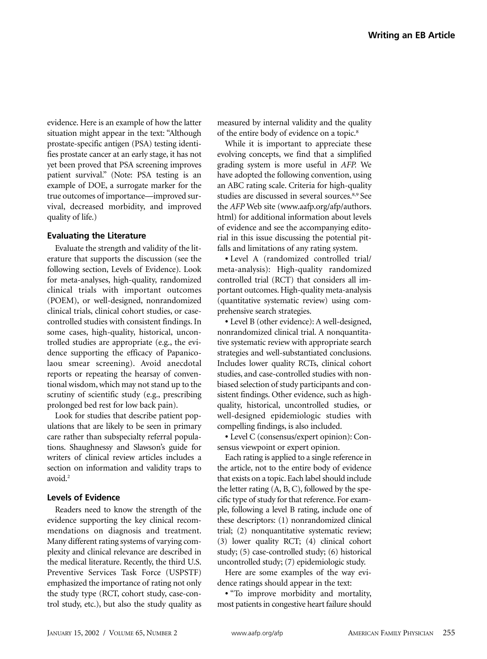evidence. Here is an example of how the latter situation might appear in the text: "Although prostate-specific antigen (PSA) testing identifies prostate cancer at an early stage, it has not yet been proved that PSA screening improves patient survival." (Note: PSA testing is an example of DOE, a surrogate marker for the true outcomes of importance—improved survival, decreased morbidity, and improved quality of life.)

#### **Evaluating the Literature**

Evaluate the strength and validity of the literature that supports the discussion (see the following section, Levels of Evidence). Look for meta-analyses, high-quality, randomized clinical trials with important outcomes (POEM), or well-designed, nonrandomized clinical trials, clinical cohort studies, or casecontrolled studies with consistent findings. In some cases, high-quality, historical, uncontrolled studies are appropriate (e.g., the evidence supporting the efficacy of Papanicolaou smear screening). Avoid anecdotal reports or repeating the hearsay of conventional wisdom, which may not stand up to the scrutiny of scientific study (e.g., prescribing prolonged bed rest for low back pain).

Look for studies that describe patient populations that are likely to be seen in primary care rather than subspecialty referral populations. Shaughnessy and Slawson's guide for writers of clinical review articles includes a section on information and validity traps to avoid.<sup>2</sup>

#### **Levels of Evidence**

Readers need to know the strength of the evidence supporting the key clinical recommendations on diagnosis and treatment. Many different rating systems of varying complexity and clinical relevance are described in the medical literature. Recently, the third U.S. Preventive Services Task Force (USPSTF) emphasized the importance of rating not only the study type (RCT, cohort study, case-control study, etc.), but also the study quality as measured by internal validity and the quality of the entire body of evidence on a topic.<sup>8</sup>

While it is important to appreciate these evolving concepts, we find that a simplified grading system is more useful in *AFP.* We have adopted the following convention, using an ABC rating scale. Criteria for high-quality studies are discussed in several sources.8,9 See the *AFP* Web site (www.aafp.org/afp/authors. html) for additional information about levels of evidence and see the accompanying editorial in this issue discussing the potential pitfalls and limitations of any rating system.

• Level A (randomized controlled trial/ meta-analysis): High-quality randomized controlled trial (RCT) that considers all important outcomes. High-quality meta-analysis (quantitative systematic review) using comprehensive search strategies.

• Level B (other evidence): A well-designed, nonrandomized clinical trial. A nonquantitative systematic review with appropriate search strategies and well-substantiated conclusions. Includes lower quality RCTs, clinical cohort studies, and case-controlled studies with nonbiased selection of study participants and consistent findings. Other evidence, such as highquality, historical, uncontrolled studies, or well-designed epidemiologic studies with compelling findings, is also included.

• Level C (consensus/expert opinion): Consensus viewpoint or expert opinion.

Each rating is applied to a single reference in the article, not to the entire body of evidence that exists on a topic. Each label should include the letter rating (A, B, C), followed by the specific type of study for that reference. For example, following a level B rating, include one of these descriptors: (1) nonrandomized clinical trial; (2) nonquantitative systematic review; (3) lower quality RCT; (4) clinical cohort study; (5) case-controlled study; (6) historical uncontrolled study; (7) epidemiologic study.

Here are some examples of the way evidence ratings should appear in the text:

• "To improve morbidity and mortality, most patients in congestive heart failure should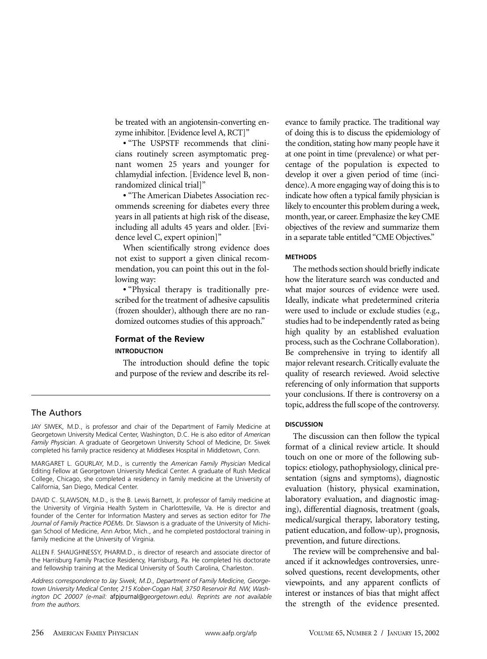be treated with an angiotensin-converting enzyme inhibitor. [Evidence level A, RCT]"

• "The USPSTF recommends that clinicians routinely screen asymptomatic pregnant women 25 years and younger for chlamydial infection. [Evidence level B, nonrandomized clinical trial]"

• "The American Diabetes Association recommends screening for diabetes every three years in all patients at high risk of the disease, including all adults 45 years and older. [Evidence level C, expert opinion]"

When scientifically strong evidence does not exist to support a given clinical recommendation, you can point this out in the following way:

• "Physical therapy is traditionally prescribed for the treatment of adhesive capsulitis (frozen shoulder), although there are no randomized outcomes studies of this approach."

# **Format of the Review**

#### **INTRODUCTION**

The introduction should define the topic and purpose of the review and describe its rel-

## The Authors

JAY SIWEK, M.D., is professor and chair of the Department of Family Medicine at Georgetown University Medical Center, Washington, D.C. He is also editor of *American Family Physician*. A graduate of Georgetown University School of Medicine, Dr. Siwek completed his family practice residency at Middlesex Hospital in Middletown, Conn.

MARGARET L. GOURLAY, M.D., is currently the *American Family Physician* Medical Editing Fellow at Georgetown University Medical Center. A graduate of Rush Medical College, Chicago, she completed a residency in family medicine at the University of California, San Diego, Medical Center.

DAVID C. SLAWSON, M.D., is the B. Lewis Barnett, Jr. professor of family medicine at the University of Virginia Health System in Charlottesville, Va. He is director and founder of the Center for Information Mastery and serves as section editor for *The Journal of Family Practice POEMs*. Dr. Slawson is a graduate of the University of Michigan School of Medicine, Ann Arbor, Mich., and he completed postdoctoral training in family medicine at the University of Virginia.

ALLEN F. SHAUGHNESSY, PHARM.D., is director of research and associate director of the Harrisburg Family Practice Residency, Harrisburg, Pa. He completed his doctorate and fellowship training at the Medical University of South Carolina, Charleston.

*Address correspondence to Jay Siwek, M.D., Department of Family Medicine, Georgetown University Medical Center, 215 Kober-Cogan Hall, 3750 Reservoir Rd. NW, Washington DC 20007 (e-mail: afpjournal@georgetown.edu). Reprints are not available from the authors.* 

evance to family practice. The traditional way of doing this is to discuss the epidemiology of the condition, stating how many people have it at one point in time (prevalence) or what percentage of the population is expected to develop it over a given period of time (incidence). A more engaging way of doing this is to indicate how often a typical family physician is likely to encounter this problem during a week, month, year, or career. Emphasize the key CME objectives of the review and summarize them in a separate table entitled "CME Objectives."

#### **METHODS**

The methods section should briefly indicate how the literature search was conducted and what major sources of evidence were used. Ideally, indicate what predetermined criteria were used to include or exclude studies (e.g., studies had to be independently rated as being high quality by an established evaluation process, such as the Cochrane Collaboration). Be comprehensive in trying to identify all major relevant research. Critically evaluate the quality of research reviewed. Avoid selective referencing of only information that supports your conclusions. If there is controversy on a topic, address the full scope of the controversy.

#### **DISCUSSION**

The discussion can then follow the typical format of a clinical review article. It should touch on one or more of the following subtopics: etiology, pathophysiology, clinical presentation (signs and symptoms), diagnostic evaluation (history, physical examination, laboratory evaluation, and diagnostic imaging), differential diagnosis, treatment (goals, medical/surgical therapy, laboratory testing, patient education, and follow-up), prognosis, prevention, and future directions.

The review will be comprehensive and balanced if it acknowledges controversies, unresolved questions, recent developments, other viewpoints, and any apparent conflicts of interest or instances of bias that might affect the strength of the evidence presented.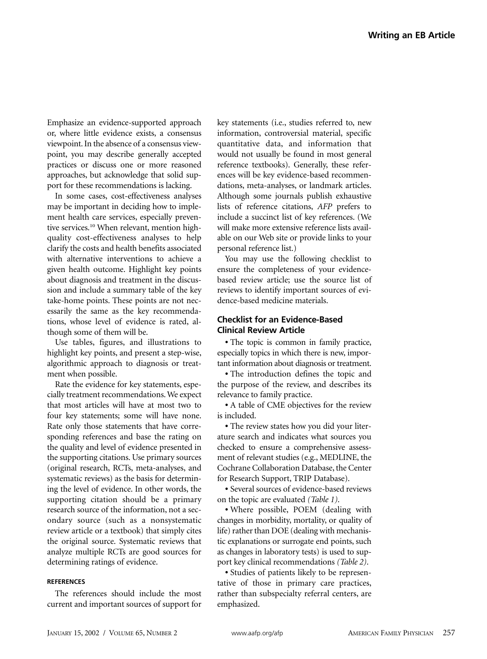Emphasize an evidence-supported approach or, where little evidence exists, a consensus viewpoint. In the absence of a consensus viewpoint, you may describe generally accepted practices or discuss one or more reasoned approaches, but acknowledge that solid support for these recommendations is lacking.

In some cases, cost-effectiveness analyses may be important in deciding how to implement health care services, especially preventive services.<sup>10</sup> When relevant, mention highquality cost-effectiveness analyses to help clarify the costs and health benefits associated with alternative interventions to achieve a given health outcome. Highlight key points about diagnosis and treatment in the discussion and include a summary table of the key take-home points. These points are not necessarily the same as the key recommendations, whose level of evidence is rated, although some of them will be.

Use tables, figures, and illustrations to highlight key points, and present a step-wise, algorithmic approach to diagnosis or treatment when possible.

Rate the evidence for key statements, especially treatment recommendations. We expect that most articles will have at most two to four key statements; some will have none. Rate only those statements that have corresponding references and base the rating on the quality and level of evidence presented in the supporting citations. Use primary sources (original research, RCTs, meta-analyses, and systematic reviews) as the basis for determining the level of evidence. In other words, the supporting citation should be a primary research source of the information, not a secondary source (such as a nonsystematic review article or a textbook) that simply cites the original source. Systematic reviews that analyze multiple RCTs are good sources for determining ratings of evidence.

## **REFERENCES**

The references should include the most current and important sources of support for key statements (i.e., studies referred to, new information, controversial material, specific quantitative data, and information that would not usually be found in most general reference textbooks). Generally, these references will be key evidence-based recommendations, meta-analyses, or landmark articles. Although some journals publish exhaustive lists of reference citations, *AFP* prefers to include a succinct list of key references. (We will make more extensive reference lists available on our Web site or provide links to your personal reference list.)

You may use the following checklist to ensure the completeness of your evidencebased review article; use the source list of reviews to identify important sources of evidence-based medicine materials.

## **Checklist for an Evidence-Based Clinical Review Article**

• The topic is common in family practice, especially topics in which there is new, important information about diagnosis or treatment.

• The introduction defines the topic and the purpose of the review, and describes its relevance to family practice.

• A table of CME objectives for the review is included.

• The review states how you did your literature search and indicates what sources you checked to ensure a comprehensive assessment of relevant studies (e.g., MEDLINE, the Cochrane Collaboration Database, the Center for Research Support, TRIP Database).

• Several sources of evidence-based reviews on the topic are evaluated *(Table 1)*.

• Where possible, POEM (dealing with changes in morbidity, mortality, or quality of life) rather than DOE (dealing with mechanistic explanations or surrogate end points, such as changes in laboratory tests) is used to support key clinical recommendations *(Table 2)*.

• Studies of patients likely to be representative of those in primary care practices, rather than subspecialty referral centers, are emphasized.